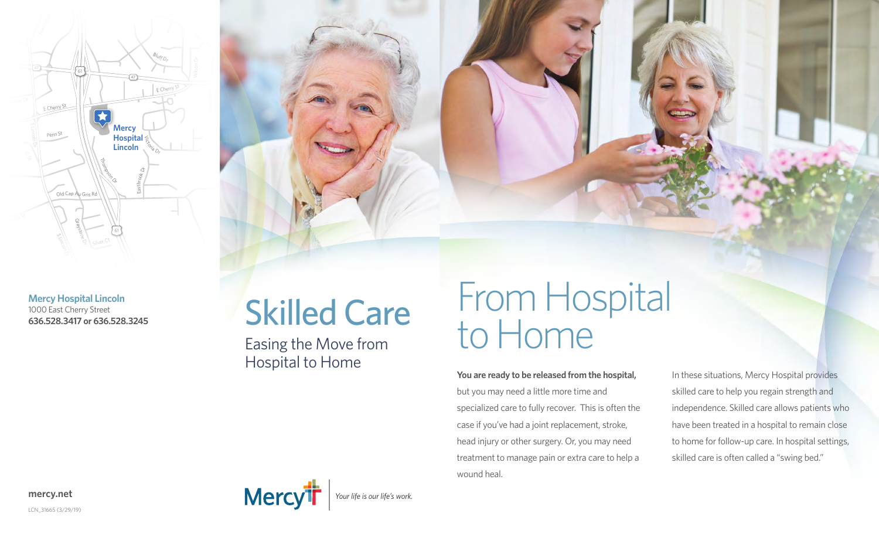

**Mercy Hospital Lincoln** 1000 East Cherry Street **636.528.3417 or 636.528.3245**

# Skilled Care

Easing the Move from Hospital to Home

## From Hospital to Home

**You are ready to be released from the hospital,**  but you may need a little more time and specialized care to fully recover. This is often the case if you've had a joint replacement, stroke, head injury or other surgery. Or, you may need treatment to manage pain or extra care to help a wound heal.

In these situations, Mercy Hospital provides skilled care to help you regain strength and independence. Skilled care allows patients who have been treated in a hospital to remain close to home for follow-up care. In hospital settings, skilled care is often called a "swing bed."